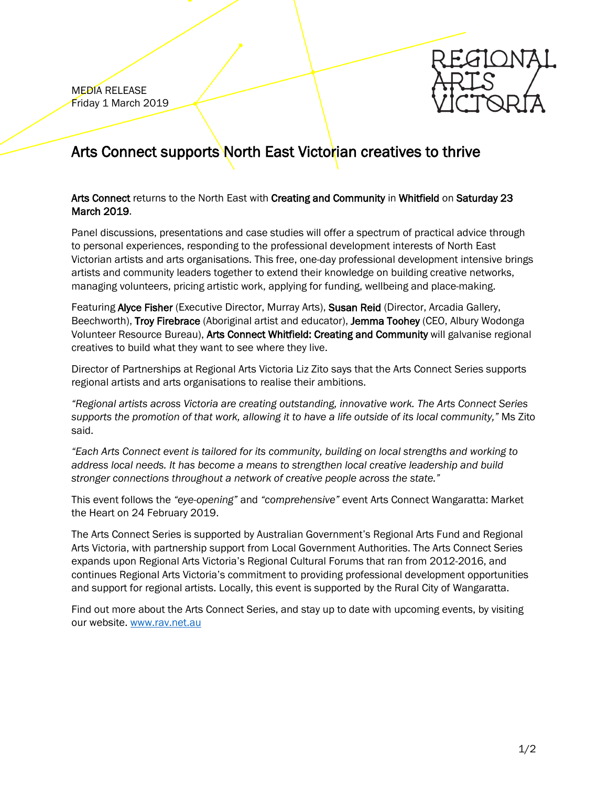MEDIA RELEASE Friday 1 March 2019



## Arts Connect supports North East Victorian creatives to thrive

## Arts Connect returns to the North East with Creating and Community in Whitfield on Saturday 23 March 2019.

Panel discussions, presentations and case studies will offer a spectrum of practical advice through to personal experiences, responding to the professional development interests of North East Victorian artists and arts organisations. This free, one-day professional development intensive brings artists and community leaders together to extend their knowledge on building creative networks, managing volunteers, pricing artistic work, applying for funding, wellbeing and place-making.

Featuring Alyce Fisher (Executive Director, Murray Arts), Susan Reid (Director, Arcadia Gallery, Beechworth), Troy Firebrace (Aboriginal artist and educator), Jemma Toohey (CEO, Albury Wodonga Volunteer Resource Bureau), Arts Connect Whitfield: Creating and Community will galvanise regional creatives to build what they want to see where they live.

Director of Partnerships at Regional Arts Victoria Liz Zito says that the Arts Connect Series supports regional artists and arts organisations to realise their ambitions.

*"Regional artists across Victoria are creating outstanding, innovative work. The Arts Connect Series supports the promotion of that work, allowing it to have a life outside of its local community,"* Ms Zito said.

*"Each Arts Connect event is tailored for its community, building on local strengths and working to address local needs. It has become a means to strengthen local creative leadership and build stronger connections throughout a network of creative people across the state."*

This event follows the *"eye-opening"* and *"comprehensive"* event Arts Connect Wangaratta: Market the Heart on 24 February 2019.

The Arts Connect Series is supported by Australian Government's Regional Arts Fund and Regional Arts Victoria, with partnership support from Local Government Authorities. The Arts Connect Series expands upon Regional Arts Victoria's Regional Cultural Forums that ran from 2012-2016, and continues Regional Arts Victoria's commitment to providing professional development opportunities and support for regional artists. Locally, this event is supported by the Rural City of Wangaratta.

Find out more about the Arts Connect Series, and stay up to date with upcoming events, by visiting our website. [www.rav.net.au](http://www.rav.net.au/)